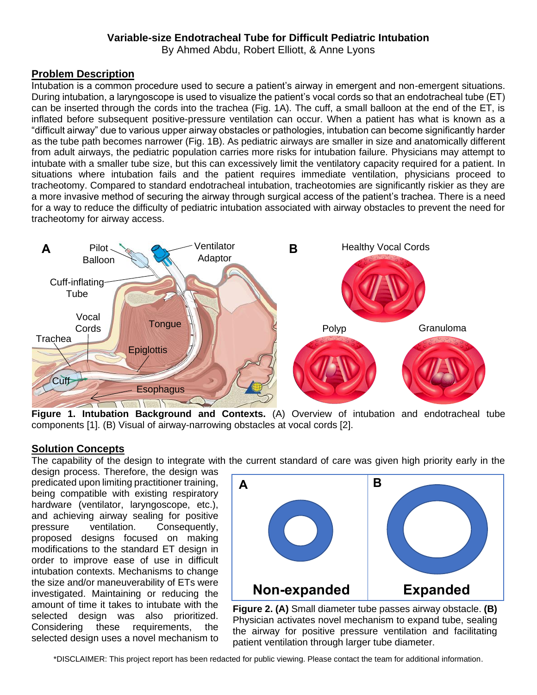# **Variable-size Endotracheal Tube for Difficult Pediatric Intubation**

By Ahmed Abdu, Robert Elliott, & Anne Lyons

## **Problem Description**

Intubation is a common procedure used to secure a patient's airway in emergent and non-emergent situations. During intubation, a laryngoscope is used to visualize the patient's vocal cords so that an endotracheal tube (ET) can be inserted through the cords into the trachea (Fig. 1A). The cuff, a small balloon at the end of the ET, is inflated before subsequent positive-pressure ventilation can occur. When a patient has what is known as a "difficult airway" due to various upper airway obstacles or pathologies, intubation can become significantly harder as the tube path becomes narrower (Fig. 1B). As pediatric airways are smaller in size and anatomically different from adult airways, the pediatric population carries more risks for intubation failure. Physicians may attempt to intubate with a smaller tube size, but this can excessively limit the ventilatory capacity required for a patient. In situations where intubation fails and the patient requires immediate ventilation, physicians proceed to tracheotomy. Compared to standard endotracheal intubation, tracheotomies are significantly riskier as they are a more invasive method of securing the airway through surgical access of the patient's trachea. There is a need for a way to reduce the difficulty of pediatric intubation associated with airway obstacles to prevent the need for tracheotomy for airway access.



**Figure 1. Intubation Background and Contexts.** (A) Overview of intubation and endotracheal tube components [1]. (B) Visual of airway-narrowing obstacles at vocal cords [2].

#### **Solution Concepts**

The capability of the design to integrate with the current standard of care was given high priority early in the

design process. Therefore, the design was predicated upon limiting practitioner training, being compatible with existing respiratory hardware (ventilator, laryngoscope, etc.), and achieving airway sealing for positive pressure ventilation. Consequently, proposed designs focused on making modifications to the standard ET design in order to improve ease of use in difficult intubation contexts. Mechanisms to change the size and/or maneuverability of ETs were investigated. Maintaining or reducing the amount of time it takes to intubate with the selected design was also prioritized. Considering these requirements, the selected design uses a novel mechanism to



**Figure 2. (A)** Small diameter tube passes airway obstacle. **(B)** Physician activates novel mechanism to expand tube, sealing the airway for positive pressure ventilation and facilitating patient ventilation through larger tube diameter.

\*DISCLAIMER: This project report has been redacted for public viewing. Please contact the team for additional information.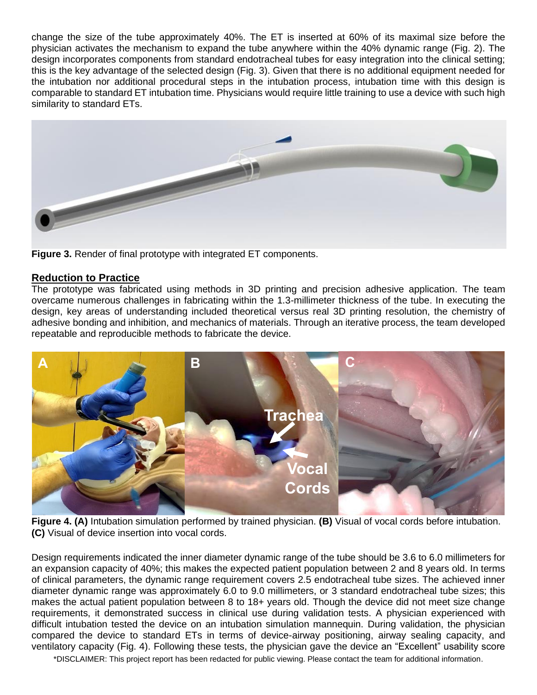change the size of the tube approximately 40%. The ET is inserted at 60% of its maximal size before the physician activates the mechanism to expand the tube anywhere within the 40% dynamic range (Fig. 2). The design incorporates components from standard endotracheal tubes for easy integration into the clinical setting; this is the key advantage of the selected design (Fig. 3). Given that there is no additional equipment needed for the intubation nor additional procedural steps in the intubation process, intubation time with this design is comparable to standard ET intubation time. Physicians would require little training to use a device with such high similarity to standard ETs.



**Figure 3.** Render of final prototype with integrated ET components.

# **Reduction to Practice**

The prototype was fabricated using methods in 3D printing and precision adhesive application. The team overcame numerous challenges in fabricating within the 1.3-millimeter thickness of the tube. In executing the design, key areas of understanding included theoretical versus real 3D printing resolution, the chemistry of adhesive bonding and inhibition, and mechanics of materials. Through an iterative process, the team developed repeatable and reproducible methods to fabricate the device.



**Figure 4. (A)** Intubation simulation performed by trained physician. **(B)** Visual of vocal cords before intubation. **(C)** Visual of device insertion into vocal cords.

Design requirements indicated the inner diameter dynamic range of the tube should be 3.6 to 6.0 millimeters for an expansion capacity of 40%; this makes the expected patient population between 2 and 8 years old. In terms of clinical parameters, the dynamic range requirement covers 2.5 endotracheal tube sizes. The achieved inner diameter dynamic range was approximately 6.0 to 9.0 millimeters, or 3 standard endotracheal tube sizes; this makes the actual patient population between 8 to 18+ years old. Though the device did not meet size change requirements, it demonstrated success in clinical use during validation tests. A physician experienced with difficult intubation tested the device on an intubation simulation mannequin. During validation, the physician compared the device to standard ETs in terms of device-airway positioning, airway sealing capacity, and ventilatory capacity (Fig. 4). Following these tests, the physician gave the device an "Excellent" usability score

\*DISCLAIMER: This project report has been redacted for public viewing. Please contact the team for additional information.